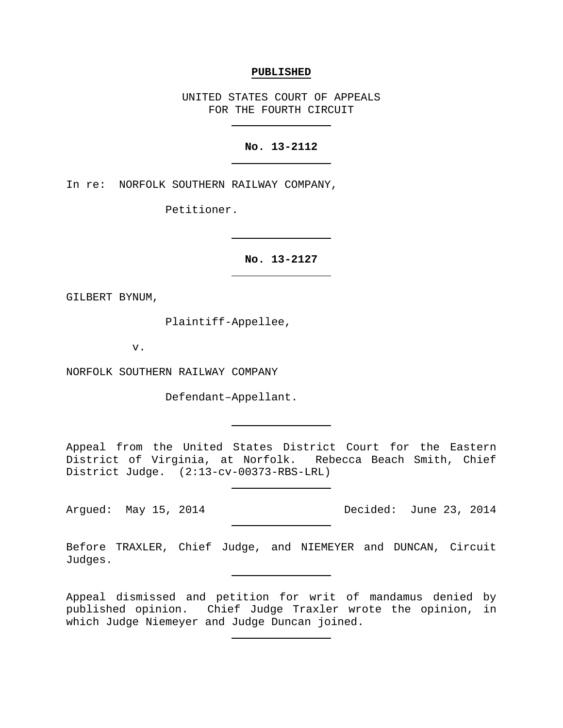#### **PUBLISHED**

UNITED STATES COURT OF APPEALS FOR THE FOURTH CIRCUIT

### **No. 13-2112**

In re: NORFOLK SOUTHERN RAILWAY COMPANY,

Petitioner.

**No. 13-2127**

GILBERT BYNUM,

Plaintiff-Appellee,

v.

NORFOLK SOUTHERN RAILWAY COMPANY

Defendant–Appellant.

Appeal from the United States District Court for the Eastern District of Virginia, at Norfolk. Rebecca Beach Smith, Chief District Judge. (2:13-cv-00373-RBS-LRL)

Argued: May 15, 2014 **Decided:** June 23, 2014

Before TRAXLER, Chief Judge, and NIEMEYER and DUNCAN, Circuit Judges.

Appeal dismissed and petition for writ of mandamus denied by published opinion. Chief Judge Traxler wrote the opinion, in which Judge Niemeyer and Judge Duncan joined.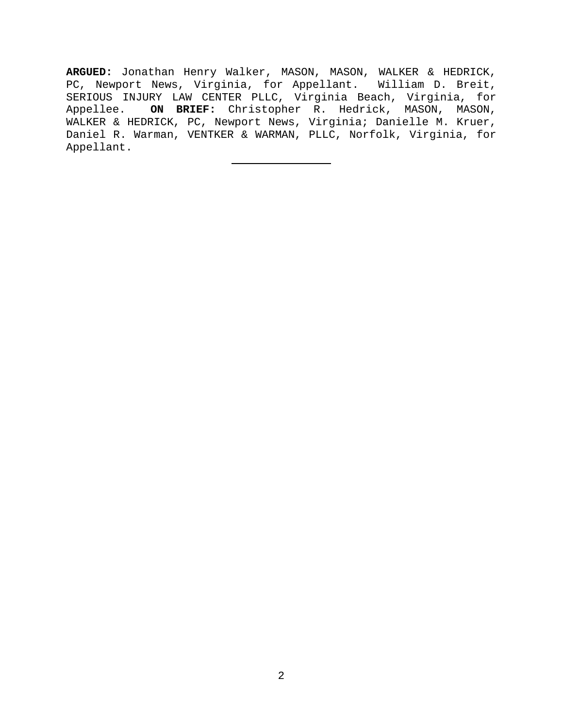**ARGUED:** Jonathan Henry Walker, MASON, MASON, WALKER & HEDRICK, PC, Newport News, Virginia, for Appellant. William D. Breit, SERIOUS INJURY LAW CENTER PLLC, Virginia Beach, Virginia, for Appellee. **ON BRIEF:** Christopher R. Hedrick, MASON, MASON, WALKER & HEDRICK, PC, Newport News, Virginia; Danielle M. Kruer, Daniel R. Warman, VENTKER & WARMAN, PLLC, Norfolk, Virginia, for Appellant.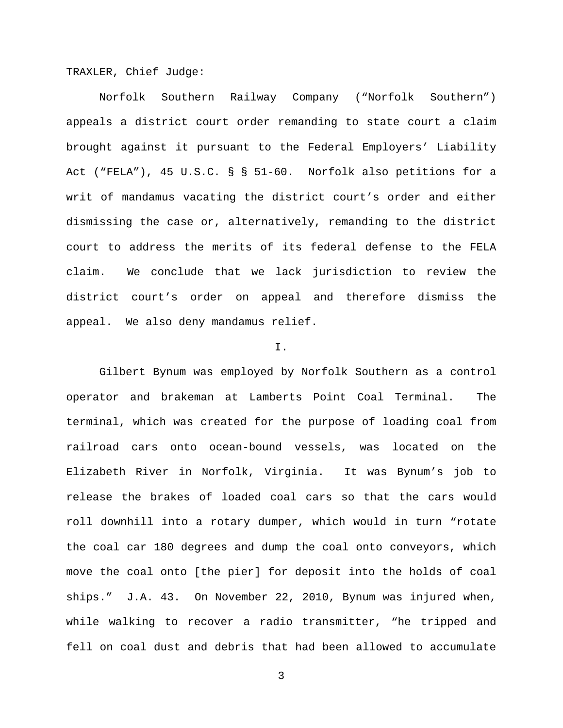TRAXLER, Chief Judge:

Norfolk Southern Railway Company ("Norfolk Southern") appeals a district court order remanding to state court a claim brought against it pursuant to the Federal Employers' Liability Act ("FELA"), 45 U.S.C. § § 51-60. Norfolk also petitions for a writ of mandamus vacating the district court's order and either dismissing the case or, alternatively, remanding to the district court to address the merits of its federal defense to the FELA claim. We conclude that we lack jurisdiction to review the district court's order on appeal and therefore dismiss the appeal. We also deny mandamus relief.

### I.

Gilbert Bynum was employed by Norfolk Southern as a control operator and brakeman at Lamberts Point Coal Terminal. The terminal, which was created for the purpose of loading coal from railroad cars onto ocean-bound vessels, was located on the Elizabeth River in Norfolk, Virginia. It was Bynum's job to release the brakes of loaded coal cars so that the cars would roll downhill into a rotary dumper, which would in turn "rotate the coal car 180 degrees and dump the coal onto conveyors, which move the coal onto [the pier] for deposit into the holds of coal ships." J.A. 43. On November 22, 2010, Bynum was injured when, while walking to recover a radio transmitter, "he tripped and fell on coal dust and debris that had been allowed to accumulate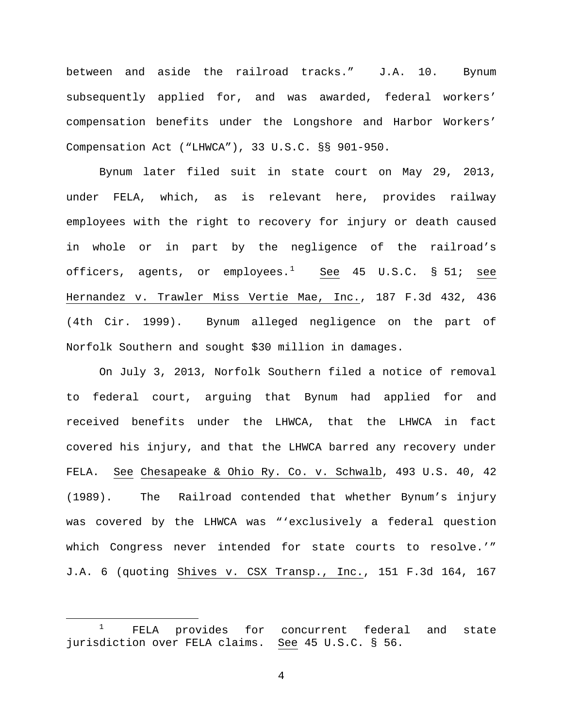between and aside the railroad tracks." J.A. 10. Bynum subsequently applied for, and was awarded, federal workers' compensation benefits under the Longshore and Harbor Workers' Compensation Act ("LHWCA"), 33 U.S.C. §§ 901-950.

Bynum later filed suit in state court on May 29, 2013, under FELA, which, as is relevant here, provides railway employees with the right to recovery for injury or death caused in whole or in part by the negligence of the railroad's officers, agents, or employees. $^1$  $^1$  See 45 U.S.C. § 51; <u>see</u> Hernandez v. Trawler Miss Vertie Mae, Inc., 187 F.3d 432, 436 (4th Cir. 1999). Bynum alleged negligence on the part of Norfolk Southern and sought \$30 million in damages.

On July 3, 2013, Norfolk Southern filed a notice of removal to federal court, arguing that Bynum had applied for and received benefits under the LHWCA, that the LHWCA in fact covered his injury, and that the LHWCA barred any recovery under FELA. See Chesapeake & Ohio Ry. Co. v. Schwalb, 493 U.S. 40, 42 (1989). The Railroad contended that whether Bynum's injury was covered by the LHWCA was "'exclusively a federal question which Congress never intended for state courts to resolve.'" J.A. 6 (quoting Shives v. CSX Transp., Inc., 151 F.3d 164, 167

<span id="page-3-0"></span> $1$  FELA provides for concurrent federal and state jurisdiction over FELA claims. See 45 U.S.C. § 56.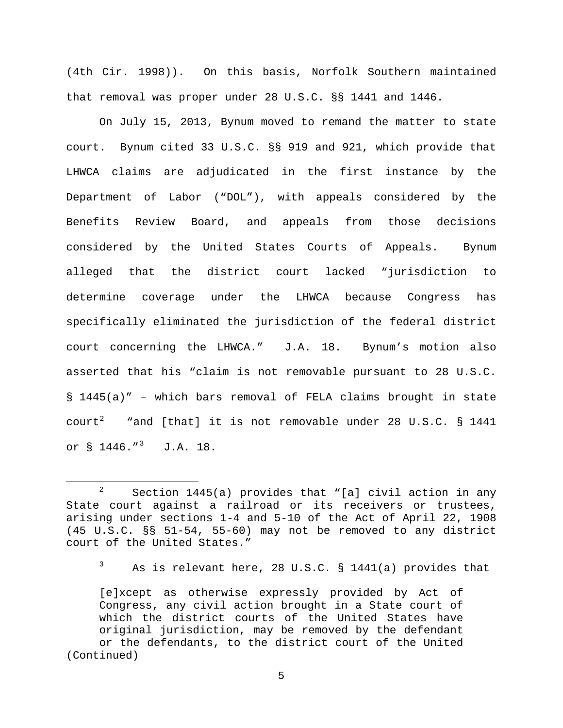(4th Cir. 1998)). On this basis, Norfolk Southern maintained that removal was proper under 28 U.S.C. §§ 1441 and 1446.

On July 15, 2013, Bynum moved to remand the matter to state court. Bynum cited 33 U.S.C. §§ 919 and 921, which provide that LHWCA claims are adjudicated in the first instance by the Department of Labor ("DOL"), with appeals considered by the Benefits Review Board, and appeals from those decisions considered by the United States Courts of Appeals. Bynum alleged that the district court lacked "jurisdiction to determine coverage under the LHWCA because Congress has specifically eliminated the jurisdiction of the federal district court concerning the LHWCA." J.A. 18. Bynum's motion also asserted that his "claim is not removable pursuant to 28 U.S.C. § 1445(a)" − which bars removal of FELA claims brought in state  $count^2$  $count^2$  - "and [that] it is not removable under 28 U.S.C. § 1441 or  $\S$  1446."<sup>[3](#page-4-1)</sup> J.A. 18.

<span id="page-4-0"></span> $2^2$  Section 1445(a) provides that "[a] civil action in any State court against a railroad or its receivers or trustees, arising under sections 1-4 and 5-10 of the Act of April 22, 1908 (45 U.S.C. §§ 51-54, 55-60) may not be removed to any district court of the United States."

 $3$  As is relevant here, 28 U.S.C. § 1441(a) provides that

<span id="page-4-1"></span><sup>[</sup>e]xcept as otherwise expressly provided by Act of Congress, any civil action brought in a State court of which the district courts of the United States have original jurisdiction, may be removed by the defendant or the defendants, to the district court of the United (Continued)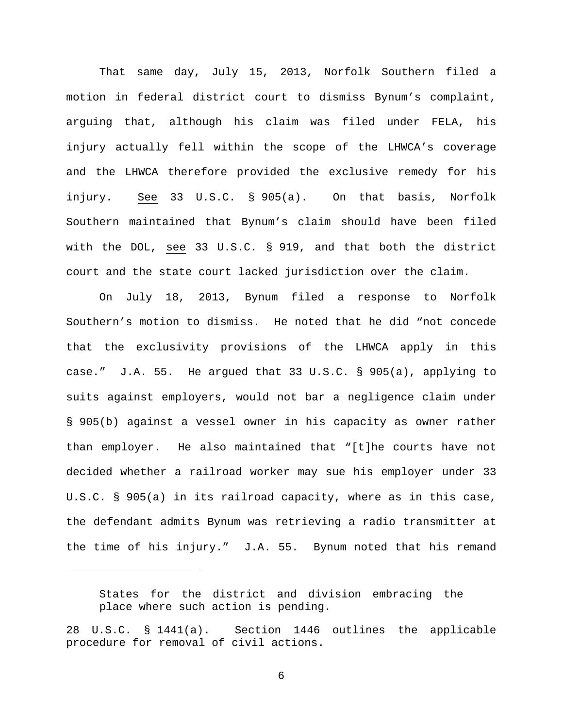That same day, July 15, 2013, Norfolk Southern filed a motion in federal district court to dismiss Bynum's complaint, arguing that, although his claim was filed under FELA, his injury actually fell within the scope of the LHWCA's coverage and the LHWCA therefore provided the exclusive remedy for his injury. See 33 U.S.C. § 905(a). On that basis, Norfolk Southern maintained that Bynum's claim should have been filed with the DOL, see 33 U.S.C. § 919, and that both the district court and the state court lacked jurisdiction over the claim.

On July 18, 2013, Bynum filed a response to Norfolk Southern's motion to dismiss. He noted that he did "not concede that the exclusivity provisions of the LHWCA apply in this case." J.A. 55. He argued that 33 U.S.C. § 905(a), applying to suits against employers, would not bar a negligence claim under § 905(b) against a vessel owner in his capacity as owner rather than employer. He also maintained that "[t]he courts have not decided whether a railroad worker may sue his employer under 33 U.S.C. § 905(a) in its railroad capacity, where as in this case, the defendant admits Bynum was retrieving a radio transmitter at the time of his injury." J.A. 55. Bynum noted that his remand

States for the district and division embracing the place where such action is pending.

Ĩ.

28 U.S.C. § 1441(a). Section 1446 outlines the applicable procedure for removal of civil actions.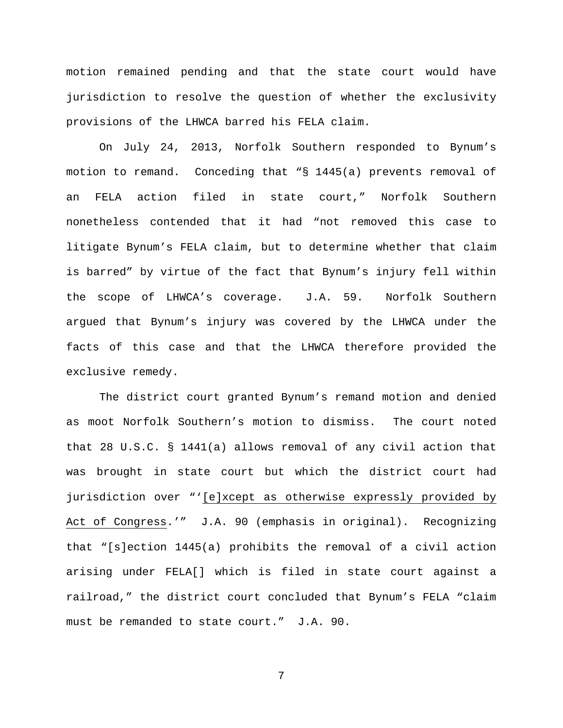motion remained pending and that the state court would have jurisdiction to resolve the question of whether the exclusivity provisions of the LHWCA barred his FELA claim.

On July 24, 2013, Norfolk Southern responded to Bynum's motion to remand. Conceding that "§ 1445(a) prevents removal of an FELA action filed in state court," Norfolk Southern nonetheless contended that it had "not removed this case to litigate Bynum's FELA claim, but to determine whether that claim is barred" by virtue of the fact that Bynum's injury fell within the scope of LHWCA's coverage. J.A. 59. Norfolk Southern argued that Bynum's injury was covered by the LHWCA under the facts of this case and that the LHWCA therefore provided the exclusive remedy.

The district court granted Bynum's remand motion and denied as moot Norfolk Southern's motion to dismiss. The court noted that 28 U.S.C. § 1441(a) allows removal of any civil action that was brought in state court but which the district court had jurisdiction over "'[e]xcept as otherwise expressly provided by Act of Congress.'" J.A. 90 (emphasis in original). Recognizing that "[s]ection 1445(a) prohibits the removal of a civil action arising under FELA[] which is filed in state court against a railroad," the district court concluded that Bynum's FELA "claim must be remanded to state court." J.A. 90.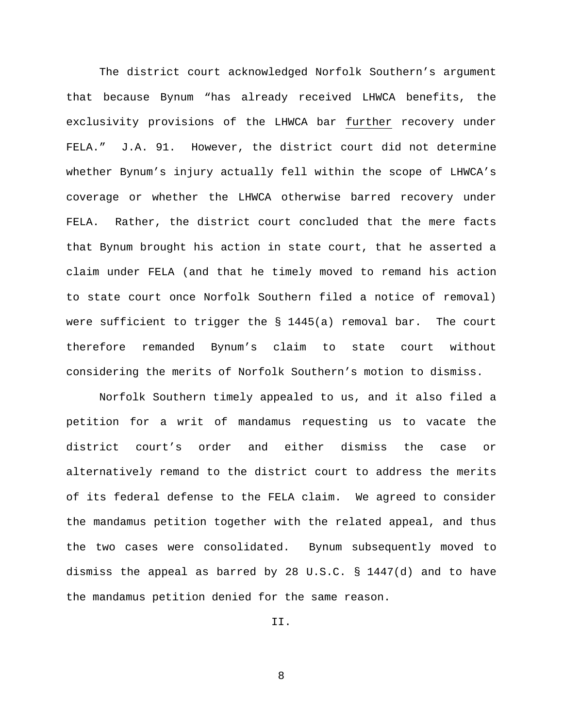The district court acknowledged Norfolk Southern's argument that because Bynum "has already received LHWCA benefits, the exclusivity provisions of the LHWCA bar further recovery under FELA." J.A. 91. However, the district court did not determine whether Bynum's injury actually fell within the scope of LHWCA's coverage or whether the LHWCA otherwise barred recovery under FELA. Rather, the district court concluded that the mere facts that Bynum brought his action in state court, that he asserted a claim under FELA (and that he timely moved to remand his action to state court once Norfolk Southern filed a notice of removal) were sufficient to trigger the  $\S$  1445(a) removal bar. The court therefore remanded Bynum's claim to state court without considering the merits of Norfolk Southern's motion to dismiss.

Norfolk Southern timely appealed to us, and it also filed a petition for a writ of mandamus requesting us to vacate the district court's order and either dismiss the case or alternatively remand to the district court to address the merits of its federal defense to the FELA claim. We agreed to consider the mandamus petition together with the related appeal, and thus the two cases were consolidated. Bynum subsequently moved to dismiss the appeal as barred by 28 U.S.C. § 1447(d) and to have the mandamus petition denied for the same reason.

II.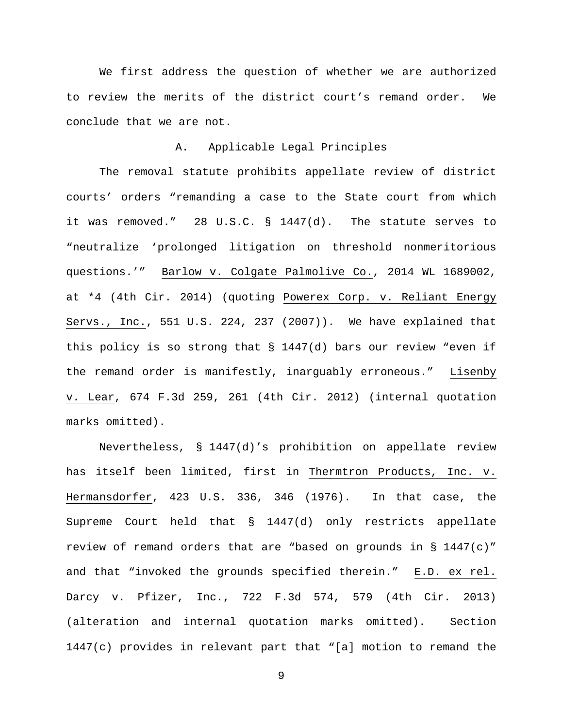We first address the question of whether we are authorized to review the merits of the district court's remand order. We conclude that we are not.

# A. Applicable Legal Principles

The removal statute prohibits appellate review of district courts' orders "remanding a case to the State court from which it was removed." 28 U.S.C. § 1447(d). The statute serves to "neutralize 'prolonged litigation on threshold nonmeritorious questions.'" Barlow v. Colgate Palmolive Co., 2014 WL 1689002, at \*4 (4th Cir. 2014) (quoting Powerex Corp. v. Reliant Energy Servs., Inc., 551 U.S. 224, 237 (2007)). We have explained that this policy is so strong that § 1447(d) bars our review "even if the remand order is manifestly, inarguably erroneous." Lisenby v. Lear, 674 F.3d 259, 261 (4th Cir. 2012) (internal quotation marks omitted).

Nevertheless, § 1447(d)'s prohibition on appellate review has itself been limited, first in Thermtron Products, Inc. v. Hermansdorfer, 423 U.S. 336, 346 (1976). In that case, the Supreme Court held that § 1447(d) only restricts appellate review of remand orders that are "based on grounds in  $\S$  1447(c)" and that "invoked the grounds specified therein." E.D. ex rel. Darcy v. Pfizer, Inc., 722 F.3d 574, 579 (4th Cir. 2013) (alteration and internal quotation marks omitted). Section 1447(c) provides in relevant part that "[a] motion to remand the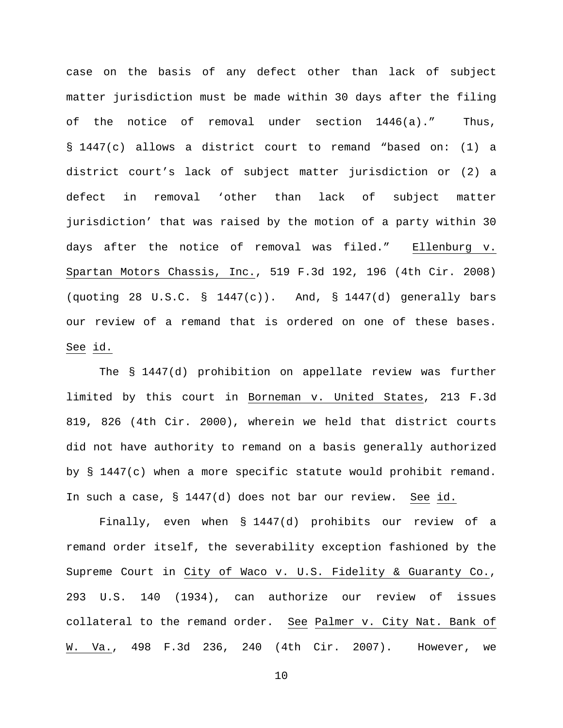case on the basis of any defect other than lack of subject matter jurisdiction must be made within 30 days after the filing of the notice of removal under section 1446(a)." Thus, § 1447(c) allows a district court to remand "based on: (1) a district court's lack of subject matter jurisdiction or (2) a defect in removal 'other than lack of subject matter jurisdiction' that was raised by the motion of a party within 30 days after the notice of removal was filed." Ellenburg v. Spartan Motors Chassis, Inc., 519 F.3d 192, 196 (4th Cir. 2008) (quoting 28 U.S.C. §  $1447(c)$ ). And, § 1447(d) generally bars our review of a remand that is ordered on one of these bases. See id.

The § 1447(d) prohibition on appellate review was further limited by this court in Borneman v. United States, 213 F.3d 819, 826 (4th Cir. 2000), wherein we held that district courts did not have authority to remand on a basis generally authorized by § 1447(c) when a more specific statute would prohibit remand. In such a case, § 1447(d) does not bar our review. See id.

Finally, even when § 1447(d) prohibits our review of a remand order itself, the severability exception fashioned by the Supreme Court in City of Waco v. U.S. Fidelity & Guaranty Co., 293 U.S. 140 (1934), can authorize our review of issues collateral to the remand order. See Palmer v. City Nat. Bank of W. Va., 498 F.3d 236, 240 (4th Cir. 2007). However, we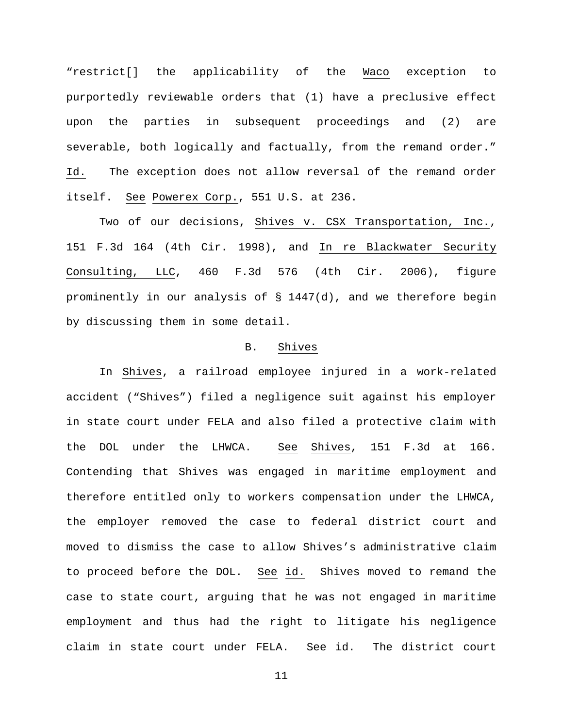"restrict[] the applicability of the Waco exception to purportedly reviewable orders that (1) have a preclusive effect upon the parties in subsequent proceedings and (2) are severable, both logically and factually, from the remand order." Id. The exception does not allow reversal of the remand order itself. See Powerex Corp., 551 U.S. at 236.

Two of our decisions, Shives v. CSX Transportation, Inc., 151 F.3d 164 (4th Cir. 1998), and In re Blackwater Security Consulting, LLC, 460 F.3d 576 (4th Cir. 2006), figure prominently in our analysis of § 1447(d), and we therefore begin by discussing them in some detail.

# B. Shives

In Shives, a railroad employee injured in a work-related accident ("Shives") filed a negligence suit against his employer in state court under FELA and also filed a protective claim with the DOL under the LHWCA. See Shives, 151 F.3d at 166. Contending that Shives was engaged in maritime employment and therefore entitled only to workers compensation under the LHWCA, the employer removed the case to federal district court and moved to dismiss the case to allow Shives's administrative claim to proceed before the DOL. See id. Shives moved to remand the case to state court, arguing that he was not engaged in maritime employment and thus had the right to litigate his negligence claim in state court under FELA. See id. The district court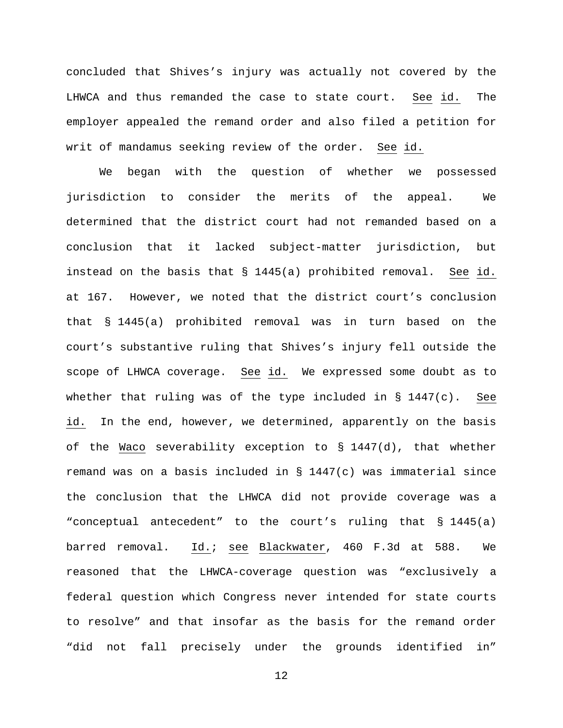concluded that Shives's injury was actually not covered by the LHWCA and thus remanded the case to state court. See id. The employer appealed the remand order and also filed a petition for writ of mandamus seeking review of the order. See id.

We began with the question of whether we possessed jurisdiction to consider the merits of the appeal. We determined that the district court had not remanded based on a conclusion that it lacked subject-matter jurisdiction, but instead on the basis that § 1445(a) prohibited removal. See id. at 167. However, we noted that the district court's conclusion that § 1445(a) prohibited removal was in turn based on the court's substantive ruling that Shives's injury fell outside the scope of LHWCA coverage. See id. We expressed some doubt as to whether that ruling was of the type included in  $\S$  1447(c). See id. In the end, however, we determined, apparently on the basis of the Waco severability exception to § 1447(d), that whether remand was on a basis included in § 1447(c) was immaterial since the conclusion that the LHWCA did not provide coverage was a "conceptual antecedent" to the court's ruling that § 1445(a) barred removal. Id.; see Blackwater, 460 F.3d at 588. We reasoned that the LHWCA-coverage question was "exclusively a federal question which Congress never intended for state courts to resolve" and that insofar as the basis for the remand order "did not fall precisely under the grounds identified in"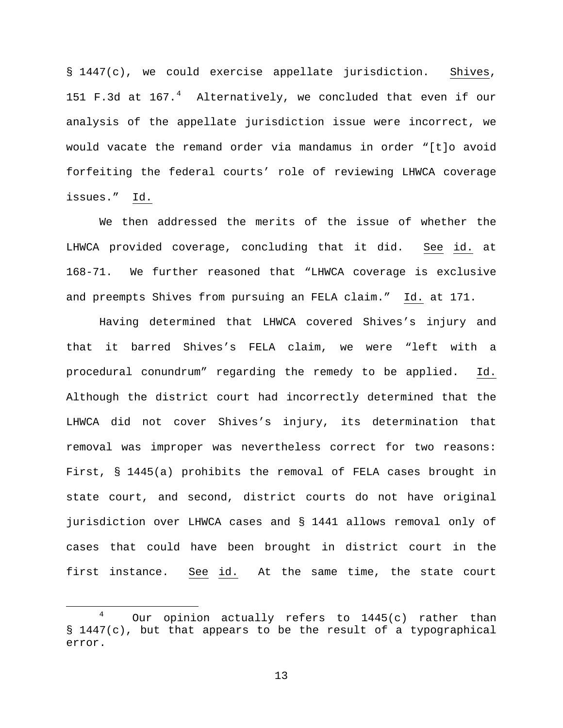§ 1447(c), we could exercise appellate jurisdiction. Shives, 151 F.3d at 167. $^4$  $^4$  Alternatively, we concluded that even if our analysis of the appellate jurisdiction issue were incorrect, we would vacate the remand order via mandamus in order "[t]o avoid forfeiting the federal courts' role of reviewing LHWCA coverage issues." Id.

We then addressed the merits of the issue of whether the LHWCA provided coverage, concluding that it did. See id. at 168-71. We further reasoned that "LHWCA coverage is exclusive and preempts Shives from pursuing an FELA claim." Id. at 171.

Having determined that LHWCA covered Shives's injury and that it barred Shives's FELA claim, we were "left with a procedural conundrum" regarding the remedy to be applied. Id. Although the district court had incorrectly determined that the LHWCA did not cover Shives's injury, its determination that removal was improper was nevertheless correct for two reasons: First, § 1445(a) prohibits the removal of FELA cases brought in state court, and second, district courts do not have original jurisdiction over LHWCA cases and § 1441 allows removal only of cases that could have been brought in district court in the first instance. See id. At the same time, the state court

<span id="page-12-0"></span> <sup>4</sup> Our opinion actually refers to 1445(c) rather than § 1447(c), but that appears to be the result of a typographical error.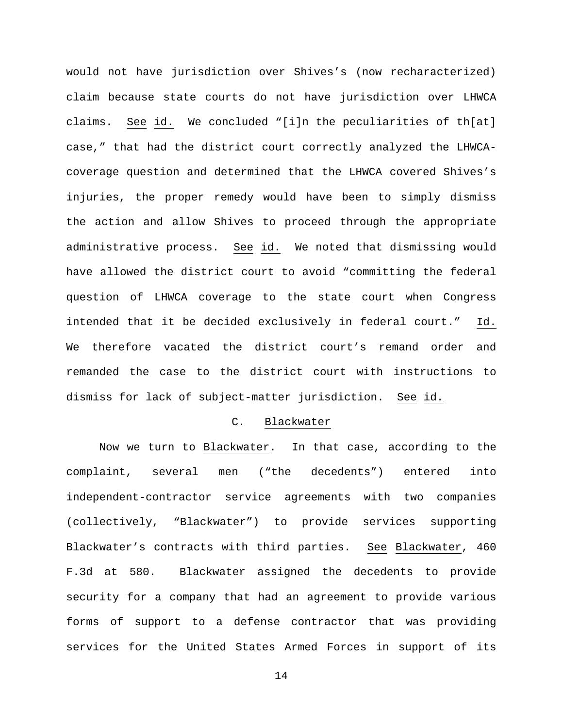would not have jurisdiction over Shives's (now recharacterized) claim because state courts do not have jurisdiction over LHWCA claims. See id. We concluded "[i]n the peculiarities of th[at] case," that had the district court correctly analyzed the LHWCAcoverage question and determined that the LHWCA covered Shives's injuries, the proper remedy would have been to simply dismiss the action and allow Shives to proceed through the appropriate administrative process. See id. We noted that dismissing would have allowed the district court to avoid "committing the federal question of LHWCA coverage to the state court when Congress intended that it be decided exclusively in federal court." Id. We therefore vacated the district court's remand order and remanded the case to the district court with instructions to dismiss for lack of subject-matter jurisdiction. See id.

### C. Blackwater

Now we turn to Blackwater. In that case, according to the complaint, several men ("the decedents") entered into independent-contractor service agreements with two companies (collectively, "Blackwater") to provide services supporting Blackwater's contracts with third parties. See Blackwater, 460 F.3d at 580. Blackwater assigned the decedents to provide security for a company that had an agreement to provide various forms of support to a defense contractor that was providing services for the United States Armed Forces in support of its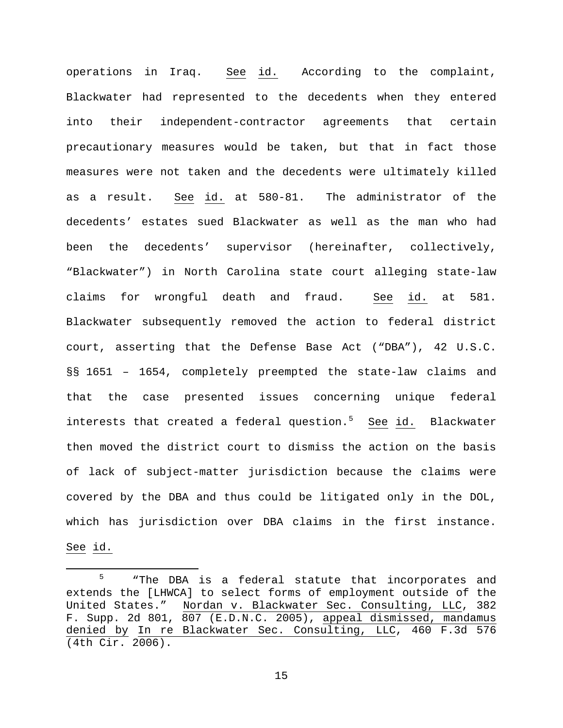operations in Iraq.  $\frac{\text{See}}{\text{id.}}$  According to the complaint, Blackwater had represented to the decedents when they entered into their independent-contractor agreements that certain precautionary measures would be taken, but that in fact those measures were not taken and the decedents were ultimately killed as a result. See id. at 580-81. The administrator of the decedents' estates sued Blackwater as well as the man who had been the decedents' supervisor (hereinafter, collectively, "Blackwater") in North Carolina state court alleging state-law claims for wrongful death and fraud. See id. at 581. Blackwater subsequently removed the action to federal district court, asserting that the Defense Base Act ("DBA"), 42 U.S.C. §§ 1651 – 1654, completely preempted the state-law claims and that the case presented issues concerning unique federal interests that created a federal question.<sup>[5](#page-14-0)</sup> See id. Blackwater then moved the district court to dismiss the action on the basis of lack of subject-matter jurisdiction because the claims were covered by the DBA and thus could be litigated only in the DOL, which has jurisdiction over DBA claims in the first instance. See id.

<span id="page-14-0"></span><sup>&</sup>lt;sup>5</sup> "The DBA is a federal statute that incorporates and extends the [LHWCA] to select forms of employment outside of the United States." Nordan v. Blackwater Sec. Consulting, LLC, 382 F. Supp. 2d 801, 807 (E.D.N.C. 2005), appeal dismissed, mandamus denied by In re Blackwater Sec. Consulting, LLC, 460 F.3d 576 (4th Cir. 2006).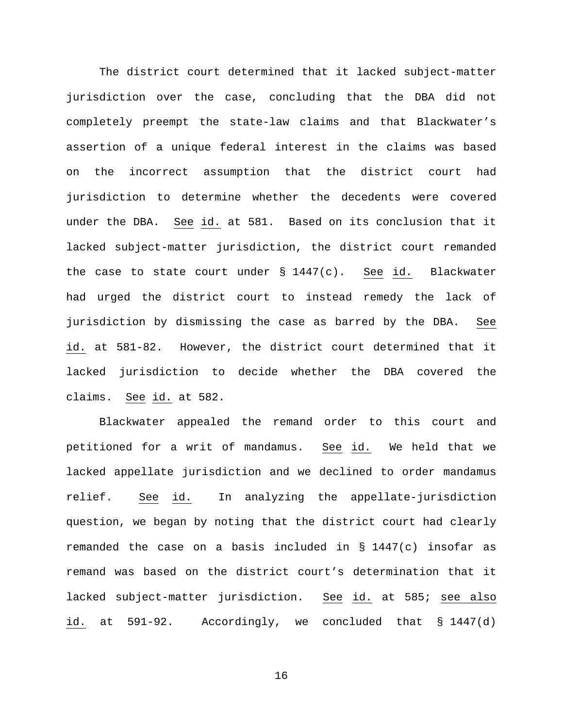The district court determined that it lacked subject-matter jurisdiction over the case, concluding that the DBA did not completely preempt the state-law claims and that Blackwater's assertion of a unique federal interest in the claims was based on the incorrect assumption that the district court had jurisdiction to determine whether the decedents were covered under the DBA. See id. at 581. Based on its conclusion that it lacked subject-matter jurisdiction, the district court remanded the case to state court under § 1447(c). See id. Blackwater had urged the district court to instead remedy the lack of jurisdiction by dismissing the case as barred by the DBA. See id. at 581-82. However, the district court determined that it lacked jurisdiction to decide whether the DBA covered the claims. See id. at 582.

Blackwater appealed the remand order to this court and petitioned for a writ of mandamus. See id. We held that we lacked appellate jurisdiction and we declined to order mandamus relief. See id. In analyzing the appellate-jurisdiction question, we began by noting that the district court had clearly remanded the case on a basis included in  $\S$  1447(c) insofar as remand was based on the district court's determination that it lacked subject-matter jurisdiction. See id. at 585; see also id. at 591-92. Accordingly, we concluded that § 1447(d)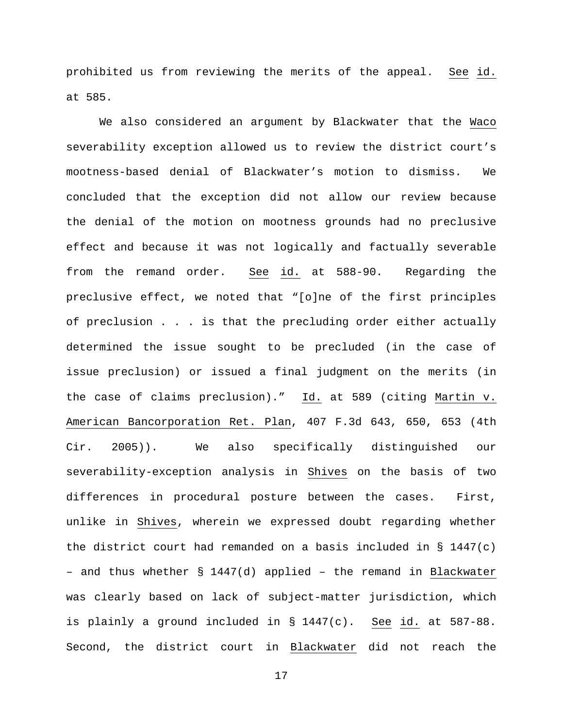prohibited us from reviewing the merits of the appeal. See id. at 585.

We also considered an argument by Blackwater that the Waco severability exception allowed us to review the district court's mootness-based denial of Blackwater's motion to dismiss. We concluded that the exception did not allow our review because the denial of the motion on mootness grounds had no preclusive effect and because it was not logically and factually severable from the remand order. See id. at 588-90. Regarding the preclusive effect, we noted that "[o]ne of the first principles of preclusion . . . is that the precluding order either actually determined the issue sought to be precluded (in the case of issue preclusion) or issued a final judgment on the merits (in the case of claims preclusion)." Id. at 589 (citing Martin v. American Bancorporation Ret. Plan, 407 F.3d 643, 650, 653 (4th Cir. 2005)). We also specifically distinguished our severability-exception analysis in Shives on the basis of two differences in procedural posture between the cases. First, unlike in Shives, wherein we expressed doubt regarding whether the district court had remanded on a basis included in  $\S$  1447(c) – and thus whether § 1447(d) applied – the remand in Blackwater was clearly based on lack of subject-matter jurisdiction, which is plainly a ground included in § 1447(c). See id. at 587-88. Second, the district court in Blackwater did not reach the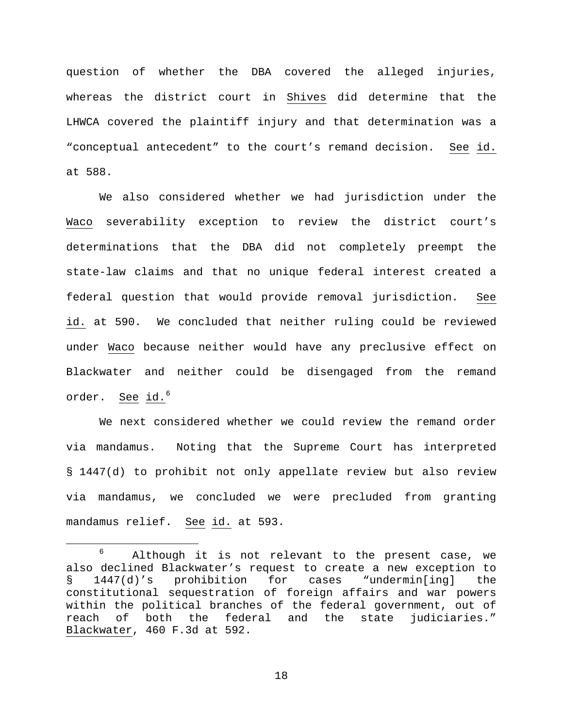question of whether the DBA covered the alleged injuries, whereas the district court in Shives did determine that the LHWCA covered the plaintiff injury and that determination was a "conceptual antecedent" to the court's remand decision. See id. at 588.

We also considered whether we had jurisdiction under the Waco severability exception to review the district court's determinations that the DBA did not completely preempt the state-law claims and that no unique federal interest created a federal question that would provide removal jurisdiction. See id. at 590. We concluded that neither ruling could be reviewed under Waco because neither would have any preclusive effect on Blackwater and neither could be disengaged from the remand order. See id.<sup>[6](#page-17-0)</sup>

We next considered whether we could review the remand order via mandamus. Noting that the Supreme Court has interpreted § 1447(d) to prohibit not only appellate review but also review via mandamus, we concluded we were precluded from granting mandamus relief. See id. at 593.

<span id="page-17-0"></span> <sup>6</sup> Although it is not relevant to the present case, we also declined Blackwater's request to create a new exception to § 1447(d)'s prohibition for cases "undermin[ing] the constitutional sequestration of foreign affairs and war powers within the political branches of the federal government, out of reach of both the federal and the state judiciaries." Blackwater, 460 F.3d at 592.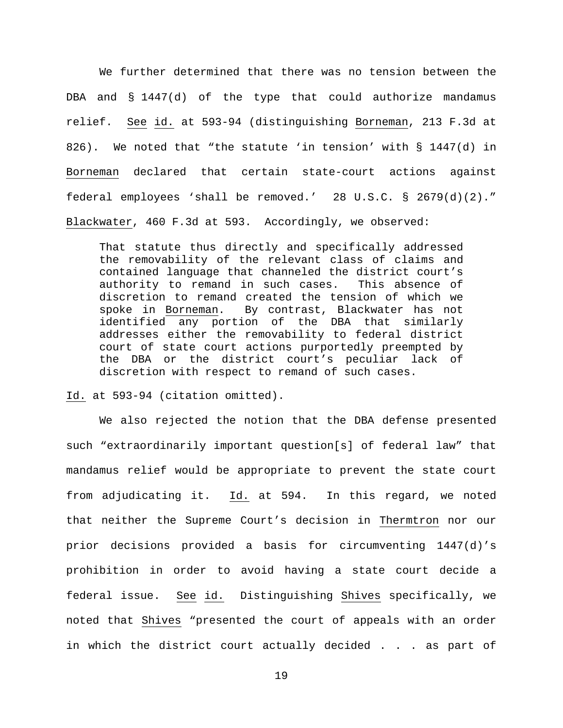We further determined that there was no tension between the DBA and § 1447(d) of the type that could authorize mandamus relief. See id. at 593-94 (distinguishing Borneman, 213 F.3d at 826). We noted that "the statute 'in tension' with § 1447(d) in Borneman declared that certain state-court actions against federal employees 'shall be removed.' 28 U.S.C. § 2679(d)(2)." Blackwater, 460 F.3d at 593. Accordingly, we observed:

That statute thus directly and specifically addressed the removability of the relevant class of claims and contained language that channeled the district court's authority to remand in such cases. discretion to remand created the tension of which we<br>spoke in Borneman. By contrast, Blackwater has not By contrast, Blackwater has not identified any portion of the DBA that similarly addresses either the removability to federal district court of state court actions purportedly preempted by the DBA or the district court's peculiar lack of discretion with respect to remand of such cases.

Id. at 593-94 (citation omitted).

We also rejected the notion that the DBA defense presented such "extraordinarily important question[s] of federal law" that mandamus relief would be appropriate to prevent the state court from adjudicating it. Id. at 594. In this regard, we noted that neither the Supreme Court's decision in Thermtron nor our prior decisions provided a basis for circumventing 1447(d)'s prohibition in order to avoid having a state court decide a federal issue. See id. Distinguishing Shives specifically, we noted that Shives "presented the court of appeals with an order in which the district court actually decided . . . as part of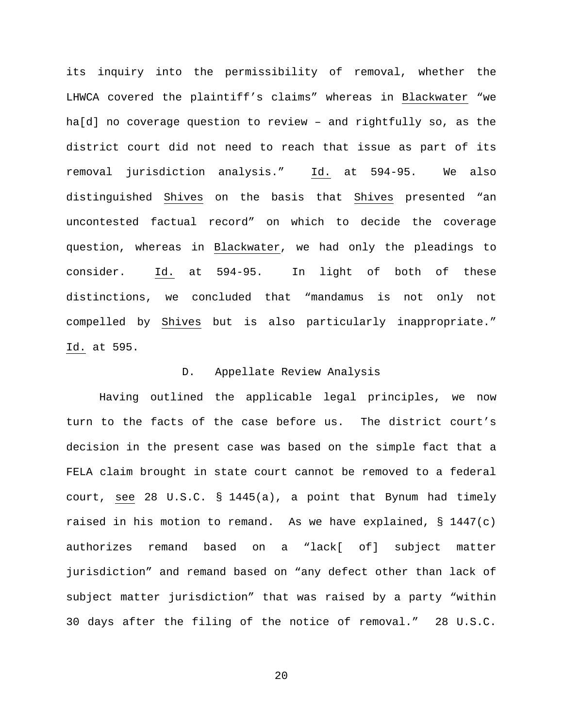its inquiry into the permissibility of removal, whether the LHWCA covered the plaintiff's claims" whereas in Blackwater "we ha[d] no coverage question to review – and rightfully so, as the district court did not need to reach that issue as part of its removal jurisdiction analysis." Id. at 594-95. We also distinguished Shives on the basis that Shives presented "an uncontested factual record" on which to decide the coverage question, whereas in Blackwater, we had only the pleadings to consider. Id. at 594-95. In light of both of these distinctions, we concluded that "mandamus is not only not compelled by Shives but is also particularly inappropriate." Id. at 595.

### D. Appellate Review Analysis

Having outlined the applicable legal principles, we now turn to the facts of the case before us. The district court's decision in the present case was based on the simple fact that a FELA claim brought in state court cannot be removed to a federal court, see 28 U.S.C. § 1445(a), a point that Bynum had timely raised in his motion to remand. As we have explained,  $\S$  1447(c) authorizes remand based on a "lack[ of] subject matter jurisdiction" and remand based on "any defect other than lack of subject matter jurisdiction" that was raised by a party "within 30 days after the filing of the notice of removal." 28 U.S.C.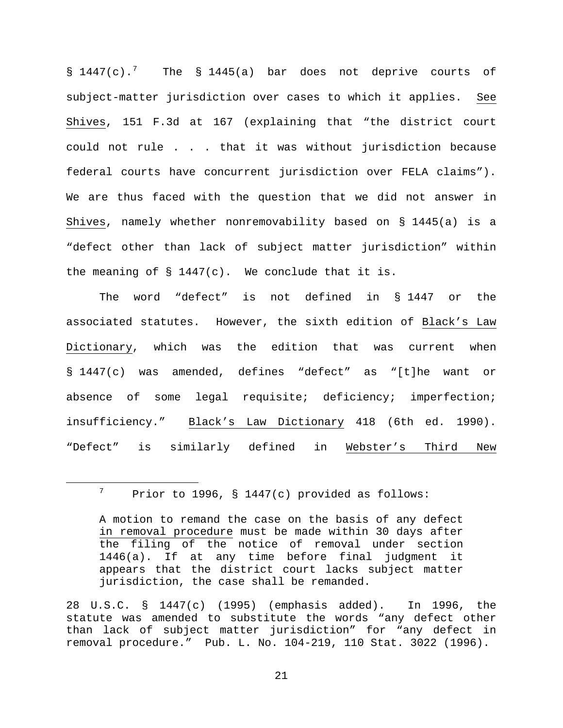$\S$  144[7](#page-20-0)(c).<sup>7</sup> The  $\S$  1445(a) bar does not deprive courts of subject-matter jurisdiction over cases to which it applies. See Shives, 151 F.3d at 167 (explaining that "the district court could not rule . . . that it was without jurisdiction because federal courts have concurrent jurisdiction over FELA claims"). We are thus faced with the question that we did not answer in Shives, namely whether nonremovability based on § 1445(a) is a "defect other than lack of subject matter jurisdiction" within the meaning of  $\S$  1447(c). We conclude that it is.

The word "defect" is not defined in § 1447 or the associated statutes. However, the sixth edition of Black's Law Dictionary, which was the edition that was current when § 1447(c) was amended, defines "defect" as "[t]he want or absence of some legal requisite; deficiency; imperfection; insufficiency." Black's Law Dictionary 418 (6th ed. 1990). "Defect" is similarly defined in Webster's Third New

<span id="page-20-0"></span> $7$  Prior to 1996, § 1447(c) provided as follows:

A motion to remand the case on the basis of any defect in removal procedure must be made within 30 days after the filing of the notice of removal under section 1446(a). If at any time before final judgment it appears that the district court lacks subject matter jurisdiction, the case shall be remanded.

<sup>28</sup> U.S.C. § 1447(c) (1995) (emphasis added). In 1996, the statute was amended to substitute the words "any defect other than lack of subject matter jurisdiction" for "any defect in removal procedure." Pub. L. No. 104-219, 110 Stat. 3022 (1996).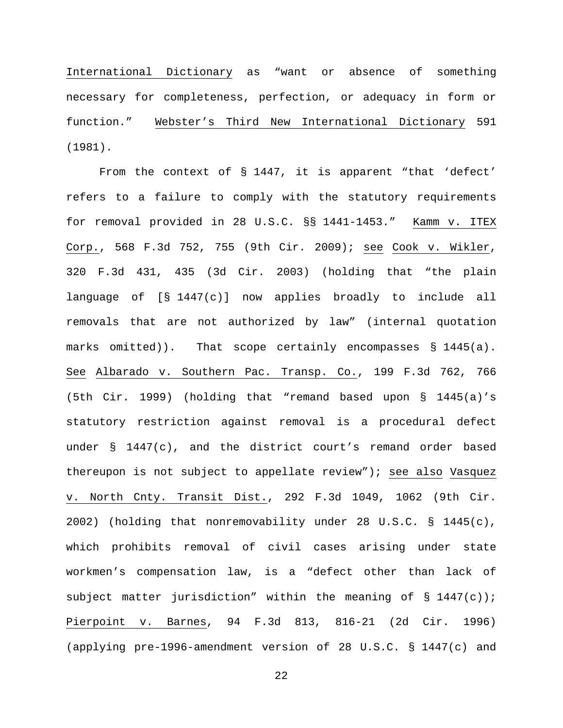International Dictionary as "want or absence of something necessary for completeness, perfection, or adequacy in form or function." Webster's Third New International Dictionary 591 (1981).

From the context of § 1447, it is apparent "that 'defect' refers to a failure to comply with the statutory requirements for removal provided in 28 U.S.C. §§ 1441-1453." Kamm v. ITEX Corp., 568 F.3d 752, 755 (9th Cir. 2009); see Cook v. Wikler, 320 F.3d 431, 435 (3d Cir. 2003) (holding that "the plain language of [§ 1447(c)] now applies broadly to include all removals that are not authorized by law" (internal quotation marks omitted)). That scope certainly encompasses § 1445(a). See Albarado v. Southern Pac. Transp. Co., 199 F.3d 762, 766 (5th Cir. 1999) (holding that "remand based upon § 1445(a)'s statutory restriction against removal is a procedural defect under § 1447(c), and the district court's remand order based thereupon is not subject to appellate review"); see also Vasquez v. North Cnty. Transit Dist., 292 F.3d 1049, 1062 (9th Cir. 2002) (holding that nonremovability under 28 U.S.C. § 1445(c), which prohibits removal of civil cases arising under state workmen's compensation law, is a "defect other than lack of subject matter jurisdiction" within the meaning of  $\S$  1447(c)); Pierpoint v. Barnes, 94 F.3d 813, 816-21 (2d Cir. 1996) (applying pre-1996-amendment version of 28 U.S.C. § 1447(c) and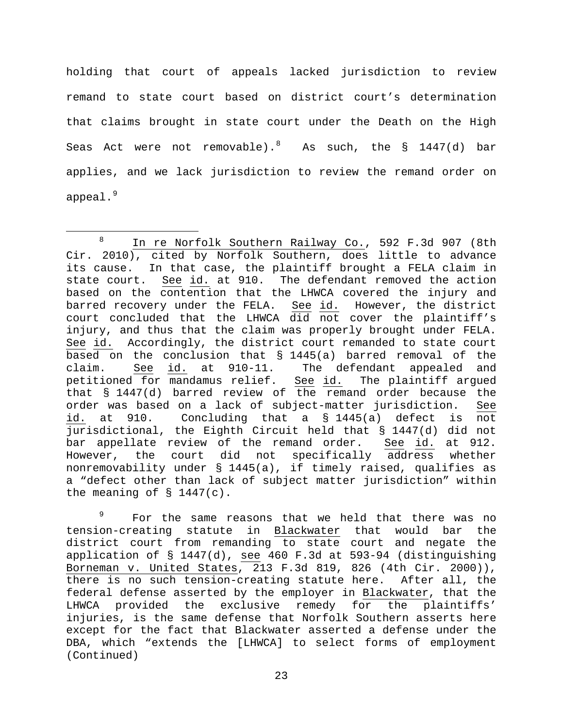holding that court of appeals lacked jurisdiction to review remand to state court based on district court's determination that claims brought in state court under the Death on the High Seas Act were not removable). $^{8}$  $^{8}$  $^{8}$  As such, the  $\delta$  1447(d) bar applies, and we lack jurisdiction to review the remand order on appeal. $^9$  $^9$ 

<span id="page-22-1"></span><sup>9</sup> For the same reasons that we held that there was no tension-creating statute in Blackwater that would bar the district court from remanding to state court and negate the application of § 1447(d), see 460 F.3d at 593-94 (distinguishing Borneman v. United States, 213 F.3d 819, 826 (4th Cir. 2000)), there is no such tension-creating statute here. After all, the federal defense asserted by the employer in Blackwater, that the LHWCA provided the exclusive remedy for the plaintiffs' injuries, is the same defense that Norfolk Southern asserts here except for the fact that Blackwater asserted a defense under the DBA, which "extends the [LHWCA] to select forms of employment (Continued)

<span id="page-22-0"></span> <sup>8</sup> In re Norfolk Southern Railway Co., 592 F.3d 907 (8th Cir. 2010), cited by Norfolk Southern, does little to advance its cause. In that case, the plaintiff brought a FELA claim in state court. See id. at 910. The defendant removed the action based on the contention that the LHWCA covered the injury and barred recovery under the FELA. See id. However, the district court concluded that the LHWCA did not cover the plaintiff's injury, and thus that the claim was properly brought under FELA. See id. Accordingly, the district court remanded to state court based on the conclusion that § 1445(a) barred removal of the<br>claim. See id. at 910-11. The defendant appealed and See id. at 910-11. The defendant appealed and petitioned for mandamus relief. See id. The plaintiff argued that  $\S$  1447(d) barred review of the remand order because the order was based on a lack of subject-matter jurisdiction. See id. at 910. Concluding that a § 1445(a) defect is not jurisdictional, the Eighth Circuit held that § 1447(d) did not bar appellate review of the remand order. See id. at 912. However, the court did not specifically address whether nonremovability under § 1445(a), if timely raised, qualifies as a "defect other than lack of subject matter jurisdiction" within the meaning of  $\S$  1447(c).

<sup>23</sup>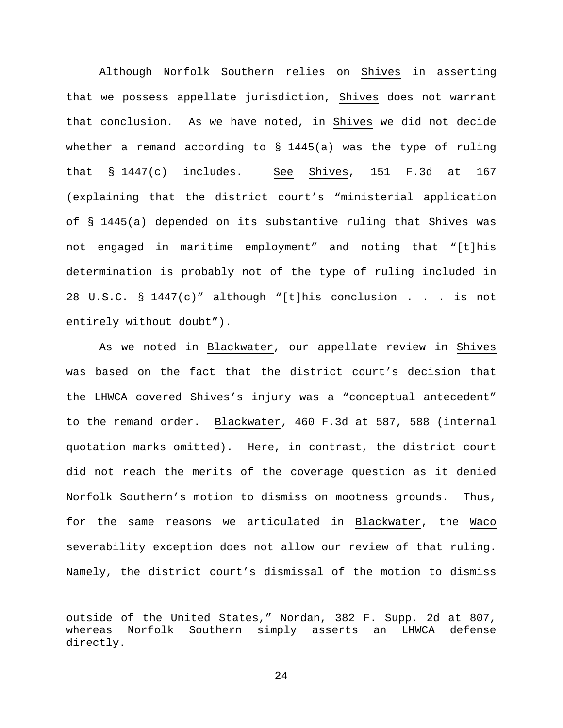Although Norfolk Southern relies on Shives in asserting that we possess appellate jurisdiction, Shives does not warrant that conclusion. As we have noted, in Shives we did not decide whether a remand according to § 1445(a) was the type of ruling that § 1447(c) includes. See Shives, 151 F.3d at 167 (explaining that the district court's "ministerial application of § 1445(a) depended on its substantive ruling that Shives was not engaged in maritime employment" and noting that "[t]his determination is probably not of the type of ruling included in 28 U.S.C. § 1447(c)" although "[t]his conclusion . . . is not entirely without doubt").

As we noted in Blackwater, our appellate review in Shives was based on the fact that the district court's decision that the LHWCA covered Shives's injury was a "conceptual antecedent" to the remand order. Blackwater, 460 F.3d at 587, 588 (internal quotation marks omitted). Here, in contrast, the district court did not reach the merits of the coverage question as it denied Norfolk Southern's motion to dismiss on mootness grounds. Thus, for the same reasons we articulated in Blackwater, the Waco severability exception does not allow our review of that ruling. Namely, the district court's dismissal of the motion to dismiss

Ĩ.

outside of the United States," Nordan, 382 F. Supp. 2d at 807, whereas Norfolk Southern simply asserts an LHWCA defense directly.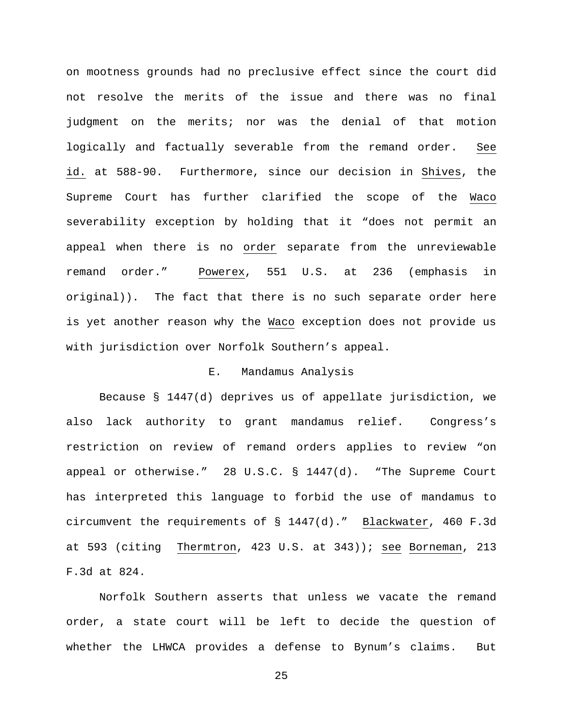on mootness grounds had no preclusive effect since the court did not resolve the merits of the issue and there was no final judgment on the merits; nor was the denial of that motion logically and factually severable from the remand order. See id. at 588-90. Furthermore, since our decision in Shives, the Supreme Court has further clarified the scope of the Waco severability exception by holding that it "does not permit an appeal when there is no order separate from the unreviewable remand order." Powerex, 551 U.S. at 236 (emphasis in original)). The fact that there is no such separate order here is yet another reason why the Waco exception does not provide us with jurisdiction over Norfolk Southern's appeal.

# E. Mandamus Analysis

Because § 1447(d) deprives us of appellate jurisdiction, we also lack authority to grant mandamus relief. Congress's restriction on review of remand orders applies to review "on appeal or otherwise." 28 U.S.C. § 1447(d). "The Supreme Court has interpreted this language to forbid the use of mandamus to circumvent the requirements of § 1447(d)." Blackwater, 460 F.3d at 593 (citing Thermtron, 423 U.S. at 343)); see Borneman, 213 F.3d at 824.

Norfolk Southern asserts that unless we vacate the remand order, a state court will be left to decide the question of whether the LHWCA provides a defense to Bynum's claims. But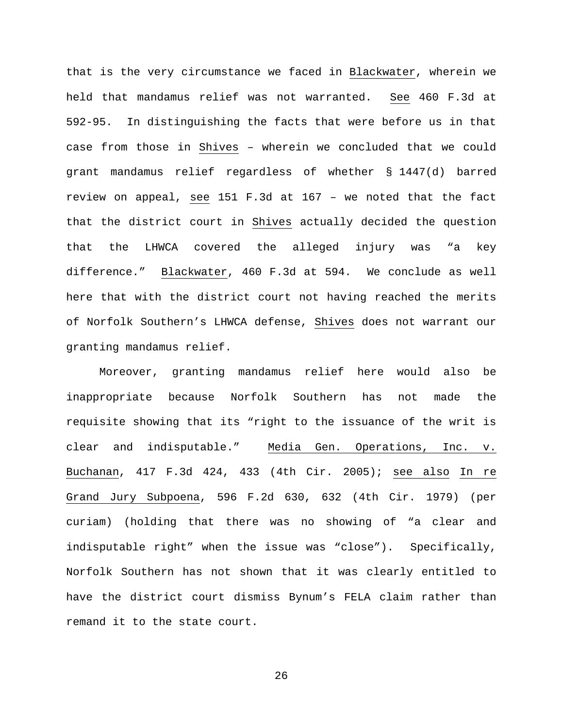that is the very circumstance we faced in Blackwater, wherein we held that mandamus relief was not warranted. See 460 F.3d at 592-95. In distinguishing the facts that were before us in that case from those in Shives – wherein we concluded that we could grant mandamus relief regardless of whether § 1447(d) barred review on appeal, see 151 F.3d at 167 – we noted that the fact that the district court in Shives actually decided the question that the LHWCA covered the alleged injury was "a key difference." Blackwater, 460 F.3d at 594. We conclude as well here that with the district court not having reached the merits of Norfolk Southern's LHWCA defense, Shives does not warrant our granting mandamus relief.

Moreover, granting mandamus relief here would also be inappropriate because Norfolk Southern has not made the requisite showing that its "right to the issuance of the writ is clear and indisputable." Media Gen. Operations, Inc. v. Buchanan, 417 F.3d 424, 433 (4th Cir. 2005); see also In re Grand Jury Subpoena, 596 F.2d 630, 632 (4th Cir. 1979) (per curiam) (holding that there was no showing of "a clear and indisputable right" when the issue was "close"). Specifically, Norfolk Southern has not shown that it was clearly entitled to have the district court dismiss Bynum's FELA claim rather than remand it to the state court.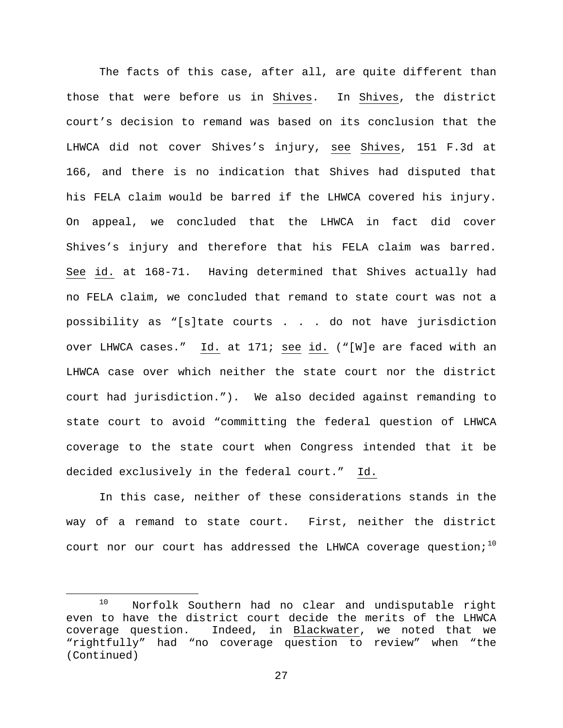The facts of this case, after all, are quite different than those that were before us in Shives. In Shives, the district court's decision to remand was based on its conclusion that the LHWCA did not cover Shives's injury, see Shives, 151 F.3d at 166, and there is no indication that Shives had disputed that his FELA claim would be barred if the LHWCA covered his injury. On appeal, we concluded that the LHWCA in fact did cover Shives's injury and therefore that his FELA claim was barred. See id. at 168-71. Having determined that Shives actually had no FELA claim, we concluded that remand to state court was not a possibility as "[s]tate courts . . . do not have jurisdiction over LHWCA cases." Id. at 171; see id. ("[W]e are faced with an LHWCA case over which neither the state court nor the district court had jurisdiction."). We also decided against remanding to state court to avoid "committing the federal question of LHWCA coverage to the state court when Congress intended that it be decided exclusively in the federal court." Id.

In this case, neither of these considerations stands in the way of a remand to state court. First, neither the district court nor our court has addressed the LHWCA coverage question;<sup>[10](#page-26-0)</sup>

<span id="page-26-0"></span> <sup>10</sup> Norfolk Southern had no clear and undisputable right even to have the district court decide the merits of the LHWCA coverage question. Indeed, in Blackwater, we noted that we "rightfully" had "no coverage question to review" when "the (Continued)